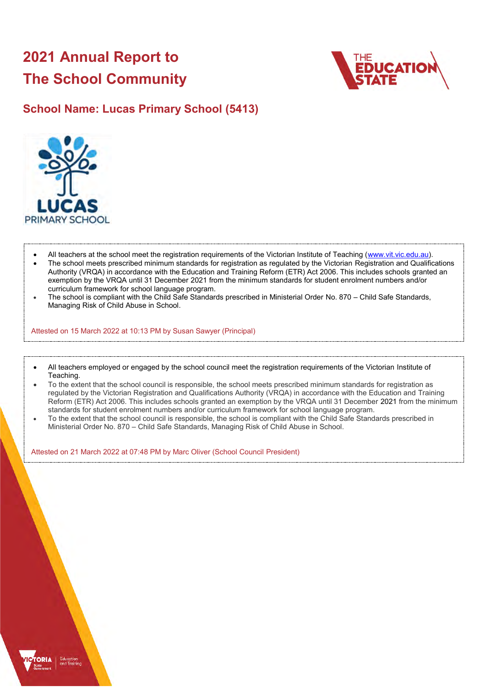# **2021 Annual Report to The School Community**



## **School Name: Lucas Primary School (5413)**



- All teachers at the school meet the registration requirements of the Victorian Institute of Teaching [\(www.vit.vic.edu.au\)](https://www.vit.vic.edu.au/).
- The school meets prescribed minimum standards for registration as regulated by the Victorian Registration and Qualifications Authority (VRQA) in accordance with the Education and Training Reform (ETR) Act 2006. This includes schools granted an exemption by the VRQA until 31 December 2021 from the minimum standards for student enrolment numbers and/or curriculum framework for school language program.
- The school is compliant with the Child Safe Standards prescribed in Ministerial Order No. 870 Child Safe Standards, Managing Risk of Child Abuse in School.

Attested on 15 March 2022 at 10:13 PM by Susan Sawyer (Principal)

- All teachers employed or engaged by the school council meet the registration requirements of the Victorian Institute of Teaching.
- To the extent that the school council is responsible, the school meets prescribed minimum standards for registration as regulated by the Victorian Registration and Qualifications Authority (VRQA) in accordance with the Education and Training Reform (ETR) Act 2006. This includes schools granted an exemption by the VRQA until 31 December 2021 from the minimum standards for student enrolment numbers and/or curriculum framework for school language program.
- To the extent that the school council is responsible, the school is compliant with the Child Safe Standards prescribed in Ministerial Order No. 870 – Child Safe Standards, Managing Risk of Child Abuse in School.

Attested on 21 March 2022 at 07:48 PM by Marc Oliver (School Council President)

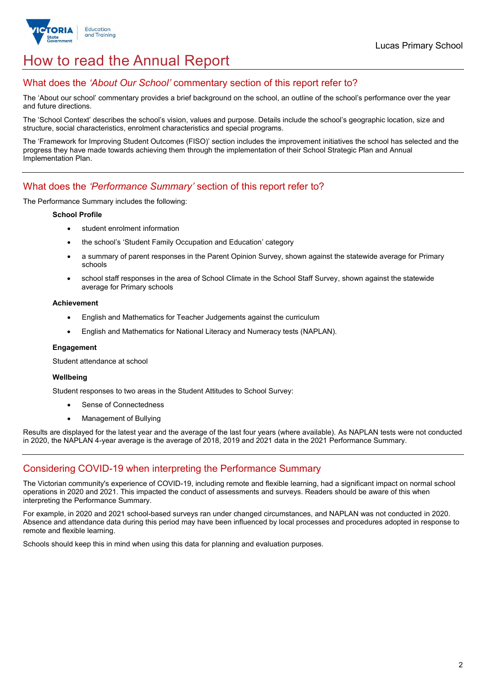

# How to read the Annual Report

## What does the *'About Our School'* commentary section of this report refer to?

The 'About our school' commentary provides a brief background on the school, an outline of the school's performance over the year and future directions.

The 'School Context' describes the school's vision, values and purpose. Details include the school's geographic location, size and structure, social characteristics, enrolment characteristics and special programs.

The 'Framework for Improving Student Outcomes (FISO)' section includes the improvement initiatives the school has selected and the progress they have made towards achieving them through the implementation of their School Strategic Plan and Annual Implementation Plan.

### What does the *'Performance Summary'* section of this report refer to?

The Performance Summary includes the following:

#### **School Profile**

- student enrolment information
- the school's 'Student Family Occupation and Education' category
- a summary of parent responses in the Parent Opinion Survey, shown against the statewide average for Primary schools
- school staff responses in the area of School Climate in the School Staff Survey, shown against the statewide average for Primary schools

#### **Achievement**

- English and Mathematics for Teacher Judgements against the curriculum
- English and Mathematics for National Literacy and Numeracy tests (NAPLAN).

#### **Engagement**

Student attendance at school

#### **Wellbeing**

Student responses to two areas in the Student Attitudes to School Survey:

- Sense of Connectedness
- Management of Bullying

Results are displayed for the latest year and the average of the last four years (where available). As NAPLAN tests were not conducted in 2020, the NAPLAN 4-year average is the average of 2018, 2019 and 2021 data in the 2021 Performance Summary.

## Considering COVID-19 when interpreting the Performance Summary

The Victorian community's experience of COVID-19, including remote and flexible learning, had a significant impact on normal school operations in 2020 and 2021. This impacted the conduct of assessments and surveys. Readers should be aware of this when interpreting the Performance Summary.

For example, in 2020 and 2021 school-based surveys ran under changed circumstances, and NAPLAN was not conducted in 2020. Absence and attendance data during this period may have been influenced by local processes and procedures adopted in response to remote and flexible learning.

Schools should keep this in mind when using this data for planning and evaluation purposes.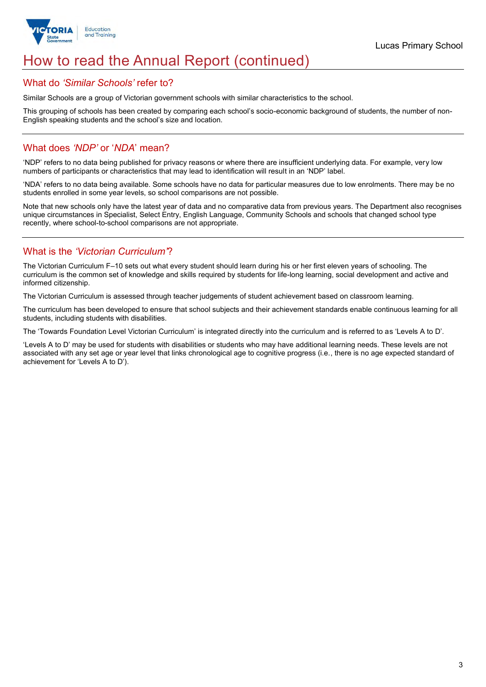

## How to read the Annual Report (continued)

#### What do *'Similar Schools'* refer to?

Similar Schools are a group of Victorian government schools with similar characteristics to the school.

This grouping of schools has been created by comparing each school's socio-economic background of students, the number of non-English speaking students and the school's size and location.

### What does *'NDP'* or '*NDA*' mean?

'NDP' refers to no data being published for privacy reasons or where there are insufficient underlying data. For example, very low numbers of participants or characteristics that may lead to identification will result in an 'NDP' label.

'NDA' refers to no data being available. Some schools have no data for particular measures due to low enrolments. There may be no students enrolled in some year levels, so school comparisons are not possible.

Note that new schools only have the latest year of data and no comparative data from previous years. The Department also recognises unique circumstances in Specialist, Select Entry, English Language, Community Schools and schools that changed school type recently, where school-to-school comparisons are not appropriate.

## What is the *'Victorian Curriculum'*?

The Victorian Curriculum F–10 sets out what every student should learn during his or her first eleven years of schooling. The curriculum is the common set of knowledge and skills required by students for life-long learning, social development and active and informed citizenship.

The Victorian Curriculum is assessed through teacher judgements of student achievement based on classroom learning.

The curriculum has been developed to ensure that school subjects and their achievement standards enable continuous learning for all students, including students with disabilities.

The 'Towards Foundation Level Victorian Curriculum' is integrated directly into the curriculum and is referred to as 'Levels A to D'.

'Levels A to D' may be used for students with disabilities or students who may have additional learning needs. These levels are not associated with any set age or year level that links chronological age to cognitive progress (i.e., there is no age expected standard of achievement for 'Levels A to D').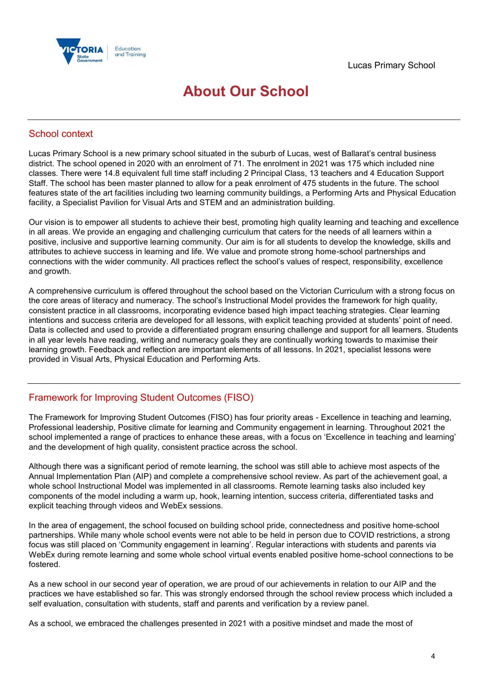

## **About Our School**

## School context

Lucas Primary School is a new primary school situated in the suburb of Lucas, west of Ballarat's central business district. The school opened in 2020 with an enrolment of 71. The enrolment in 2021 was 175 which included nine classes. There were 14.8 equivalent full time staff including 2 Principal Class, 13 teachers and 4 Education Support Staff. The school has been master planned to allow for a peak enrolment of 475 students in the future. The school features state of the art facilities including two learning community buildings, a Performing Arts and Physical Education facility, a Specialist Pavilion for Visual Arts and STEM and an administration building.

Our vision is to empower all students to achieve their best, promoting high quality learning and teaching and excellence in all areas. We provide an engaging and challenging curriculum that caters for the needs of all learners within a positive, inclusive and supportive learning community. Our aim is for all students to develop the knowledge, skills and attributes to achieve success in learning and life. We value and promote strong home-school partnerships and connections with the wider community. All practices reflect the school's values of respect, responsibility, excellence and growth.

A comprehensive curriculum is offered throughout the school based on the Victorian Curriculum with a strong focus on the core areas of literacy and numeracy. The school's Instructional Model provides the framework for high quality, consistent practice in all classrooms, incorporating evidence based high impact teaching strategies. Clear learning intentions and success criteria are developed for all lessons, with explicit teaching provided at students' point of need. Data is collected and used to provide a differentiated program ensuring challenge and support for all learners. Students in all year levels have reading, writing and numeracy goals they are continually working towards to maximise their learning growth. Feedback and reflection are important elements of all lessons. In 2021, specialist lessons were provided in Visual Arts, Physical Education and Performing Arts.

## Framework for Improving Student Outcomes (FISO)

The Framework for Improving Student Outcomes (FISO) has four priority areas - Excellence in teaching and learning, Professional leadership, Positive climate for learning and Community engagement in learning. Throughout 2021 the school implemented a range of practices to enhance these areas, with a focus on 'Excellence in teaching and learning' and the development of high quality, consistent practice across the school.

Although there was a significant period of remote learning, the school was still able to achieve most aspects of the Annual Implementation Plan (AIP) and complete a comprehensive school review. As part of the achievement goal, a whole school Instructional Model was implemented in all classrooms. Remote learning tasks also included key components of the model including a warm up, hook, learning intention, success criteria, differentiated tasks and explicit teaching through videos and WebEx sessions.

In the area of engagement, the school focused on building school pride, connectedness and positive home-school partnerships. While many whole school events were not able to be held in person due to COVID restrictions, a strong focus was still placed on 'Community engagement in learning'. Regular interactions with students and parents via WebEx during remote learning and some whole school virtual events enabled positive home-school connections to be fostered.

As a new school in our second year of operation, we are proud of our achievements in relation to our AIP and the practices we have established so far. This was strongly endorsed through the school review process which included a self evaluation, consultation with students, staff and parents and verification by a review panel.

As a school, we embraced the challenges presented in 2021 with a positive mindset and made the most of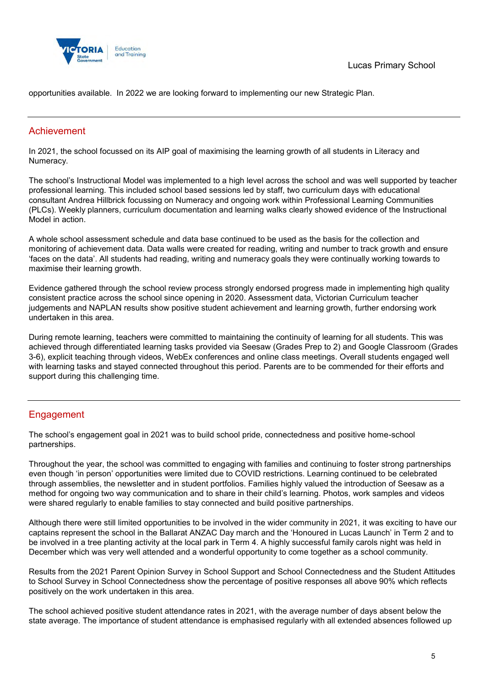

opportunities available. In 2022 we are looking forward to implementing our new Strategic Plan.

## Achievement

In 2021, the school focussed on its AIP goal of maximising the learning growth of all students in Literacy and Numeracy.

The school's Instructional Model was implemented to a high level across the school and was well supported by teacher professional learning. This included school based sessions led by staff, two curriculum days with educational consultant Andrea Hillbrick focussing on Numeracy and ongoing work within Professional Learning Communities (PLCs). Weekly planners, curriculum documentation and learning walks clearly showed evidence of the Instructional Model in action.

A whole school assessment schedule and data base continued to be used as the basis for the collection and monitoring of achievement data. Data walls were created for reading, writing and number to track growth and ensure 'faces on the data'. All students had reading, writing and numeracy goals they were continually working towards to maximise their learning growth.

Evidence gathered through the school review process strongly endorsed progress made in implementing high quality consistent practice across the school since opening in 2020. Assessment data, Victorian Curriculum teacher judgements and NAPLAN results show positive student achievement and learning growth, further endorsing work undertaken in this area.

During remote learning, teachers were committed to maintaining the continuity of learning for all students. This was achieved through differentiated learning tasks provided via Seesaw (Grades Prep to 2) and Google Classroom (Grades 3-6), explicit teaching through videos, WebEx conferences and online class meetings. Overall students engaged well with learning tasks and stayed connected throughout this period. Parents are to be commended for their efforts and support during this challenging time.

## **Engagement**

The school's engagement goal in 2021 was to build school pride, connectedness and positive home-school partnerships.

Throughout the year, the school was committed to engaging with families and continuing to foster strong partnerships even though 'in person' opportunities were limited due to COVID restrictions. Learning continued to be celebrated through assemblies, the newsletter and in student portfolios. Families highly valued the introduction of Seesaw as a method for ongoing two way communication and to share in their child's learning. Photos, work samples and videos were shared regularly to enable families to stay connected and build positive partnerships.

Although there were still limited opportunities to be involved in the wider community in 2021, it was exciting to have our captains represent the school in the Ballarat ANZAC Day march and the 'Honoured in Lucas Launch' in Term 2 and to be involved in a tree planting activity at the local park in Term 4. A highly successful family carols night was held in December which was very well attended and a wonderful opportunity to come together as a school community.

Results from the 2021 Parent Opinion Survey in School Support and School Connectedness and the Student Attitudes to School Survey in School Connectedness show the percentage of positive responses all above 90% which reflects positively on the work undertaken in this area.

The school achieved positive student attendance rates in 2021, with the average number of days absent below the state average. The importance of student attendance is emphasised regularly with all extended absences followed up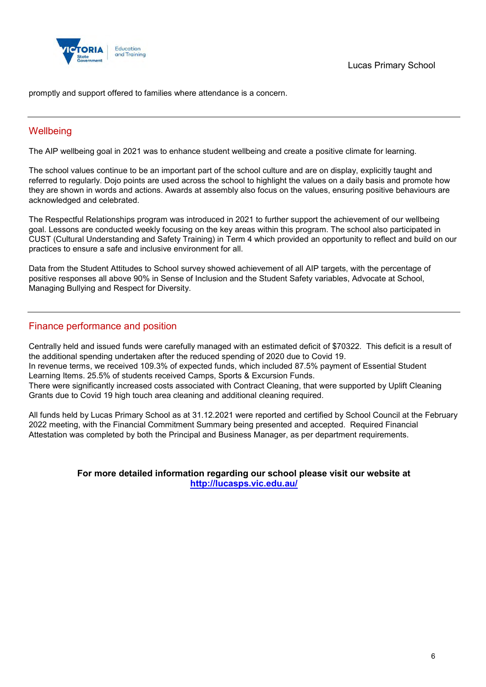

promptly and support offered to families where attendance is a concern.

## **Wellbeing**

The AIP wellbeing goal in 2021 was to enhance student wellbeing and create a positive climate for learning.

The school values continue to be an important part of the school culture and are on display, explicitly taught and referred to regularly. Dojo points are used across the school to highlight the values on a daily basis and promote how they are shown in words and actions. Awards at assembly also focus on the values, ensuring positive behaviours are acknowledged and celebrated.

The Respectful Relationships program was introduced in 2021 to further support the achievement of our wellbeing goal. Lessons are conducted weekly focusing on the key areas within this program. The school also participated in CUST (Cultural Understanding and Safety Training) in Term 4 which provided an opportunity to reflect and build on our practices to ensure a safe and inclusive environment for all.

Data from the Student Attitudes to School survey showed achievement of all AIP targets, with the percentage of positive responses all above 90% in Sense of Inclusion and the Student Safety variables, Advocate at School, Managing Bullying and Respect for Diversity.

## Finance performance and position

Centrally held and issued funds were carefully managed with an estimated deficit of \$70322. This deficit is a result of the additional spending undertaken after the reduced spending of 2020 due to Covid 19. In revenue terms, we received 109.3% of expected funds, which included 87.5% payment of Essential Student Learning Items. 25.5% of students received Camps, Sports & Excursion Funds. There were significantly increased costs associated with Contract Cleaning, that were supported by Uplift Cleaning Grants due to Covid 19 high touch area cleaning and additional cleaning required.

All funds held by Lucas Primary School as at 31.12.2021 were reported and certified by School Council at the February 2022 meeting, with the Financial Commitment Summary being presented and accepted. Required Financial Attestation was completed by both the Principal and Business Manager, as per department requirements.

#### **For more detailed information regarding our school please visit our website at <http://lucasps.vic.edu.au/>**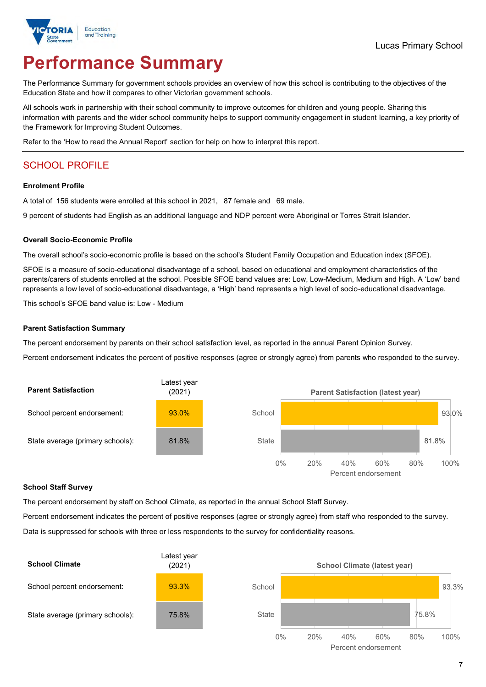

# **Performance Summary**

The Performance Summary for government schools provides an overview of how this school is contributing to the objectives of the Education State and how it compares to other Victorian government schools.

All schools work in partnership with their school community to improve outcomes for children and young people. Sharing this information with parents and the wider school community helps to support community engagement in student learning, a key priority of the Framework for Improving Student Outcomes.

Refer to the 'How to read the Annual Report' section for help on how to interpret this report.

## SCHOOL PROFILE

#### **Enrolment Profile**

A total of 156 students were enrolled at this school in 2021, 87 female and 69 male.

9 percent of students had English as an additional language and NDP percent were Aboriginal or Torres Strait Islander.

#### **Overall Socio-Economic Profile**

The overall school's socio-economic profile is based on the school's Student Family Occupation and Education index (SFOE).

SFOE is a measure of socio-educational disadvantage of a school, based on educational and employment characteristics of the parents/carers of students enrolled at the school. Possible SFOE band values are: Low, Low-Medium, Medium and High. A 'Low' band represents a low level of socio-educational disadvantage, a 'High' band represents a high level of socio-educational disadvantage.

This school's SFOE band value is: Low - Medium

#### **Parent Satisfaction Summary**

The percent endorsement by parents on their school satisfaction level, as reported in the annual Parent Opinion Survey.

Percent endorsement indicates the percent of positive responses (agree or strongly agree) from parents who responded to the survey.



#### **School Staff Survey**

The percent endorsement by staff on School Climate, as reported in the annual School Staff Survey.

Percent endorsement indicates the percent of positive responses (agree or strongly agree) from staff who responded to the survey.

Data is suppressed for schools with three or less respondents to the survey for confidentiality reasons.

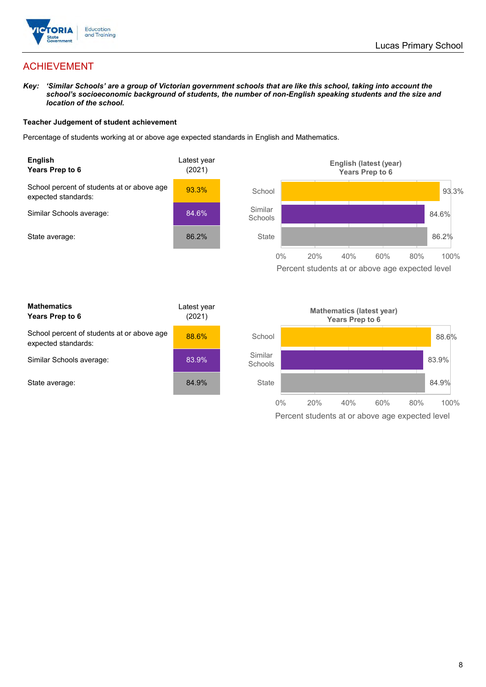

## ACHIEVEMENT

*Key: 'Similar Schools' are a group of Victorian government schools that are like this school, taking into account the school's socioeconomic background of students, the number of non-English speaking students and the size and location of the school.*

#### **Teacher Judgement of student achievement**

Percentage of students working at or above age expected standards in English and Mathematics.



Percent students at or above age expected level

| <b>Mathematics</b><br>Years Prep to 6                             | Latest year<br>(2021) |
|-------------------------------------------------------------------|-----------------------|
| School percent of students at or above age<br>expected standards: | 88.6%                 |
| Similar Schools average:                                          | 83.9%                 |
| State average:                                                    | 84.9%                 |

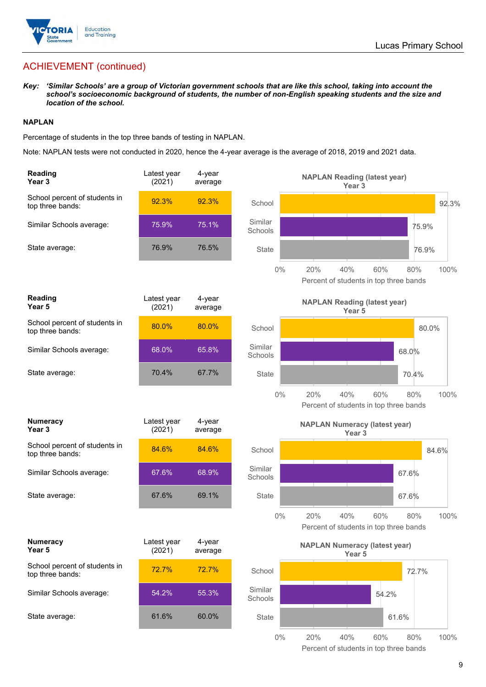

## ACHIEVEMENT (continued)

*Key: 'Similar Schools' are a group of Victorian government schools that are like this school, taking into account the school's socioeconomic background of students, the number of non-English speaking students and the size and location of the school.*

#### **NAPLAN**

Percentage of students in the top three bands of testing in NAPLAN.

Note: NAPLAN tests were not conducted in 2020, hence the 4-year average is the average of 2018, 2019 and 2021 data.

| Reading<br>Year <sub>3</sub>                      | Latest year<br>(2021) | 4-year<br>average |                    | <b>NAPLAN Reading (latest year)</b><br>Year 3                              |
|---------------------------------------------------|-----------------------|-------------------|--------------------|----------------------------------------------------------------------------|
| School percent of students in<br>top three bands: | 92.3%                 | 92.3%             | School             | 92.3%                                                                      |
| Similar Schools average:                          | 75.9%                 | 75.1%             | Similar<br>Schools | 75.9%                                                                      |
| State average:                                    | 76.9%                 | 76.5%             | State              | 76.9%                                                                      |
|                                                   |                       |                   | $0\%$              | 20%<br>40%<br>60%<br>100%<br>80%<br>Percent of students in top three bands |
| <b>Reading</b><br>Year 5                          | Latest year<br>(2021) | 4-year<br>average |                    | <b>NAPLAN Reading (latest year)</b><br>Year 5                              |
| School percent of students in<br>top three bands: | 80.0%                 | 80.0%             | School             | 80.0%                                                                      |
| Similar Schools average:                          | 68.0%                 | 65.8%             | Similar<br>Schools | 68.0%                                                                      |
| State average:                                    | 70.4%                 | 67.7%             | State              | 70.4%                                                                      |
|                                                   |                       |                   | $0\%$              | 20%<br>40%<br>60%<br>80%<br>100%<br>Percent of students in top three bands |
| <b>Numeracy</b><br>Year <sub>3</sub>              | Latest year<br>(2021) | 4-year<br>average |                    | <b>NAPLAN Numeracy (latest year)</b><br>Year <sub>3</sub>                  |
| School percent of students in<br>top three bands: | 84.6%                 | 84.6%             | School             | 84.6%                                                                      |
| Similar Schools average:                          | 67.6%                 | 68.9%             | Similar<br>Schools | 67.6%                                                                      |
| State average:                                    | 67.6%                 | 69.1%             | <b>State</b>       | 67.6%                                                                      |
|                                                   |                       |                   | $0\%$              | 20%<br>40%<br>60%<br>100%<br>80%<br>Percent of students in top three bands |
| <b>Numeracy</b><br>Year 5                         | Latest year<br>(2021) | 4-year<br>average |                    | <b>NAPLAN Numeracy (latest year)</b><br>Year 5                             |
| School percent of students in<br>top three bands: | 72.7%                 | 72.7%             | School             | 72.7%                                                                      |
| Similar Schools average:                          | 54.2%                 | 55.3%             | Similar<br>Schools | 54.2%                                                                      |
| State average:                                    | 61.6%                 | 60.0%             | State              | 61.6%                                                                      |
|                                                   |                       |                   | $0\%$              | 20%<br>40%<br>60%<br>80%<br>100%                                           |

Percent of students in top three bands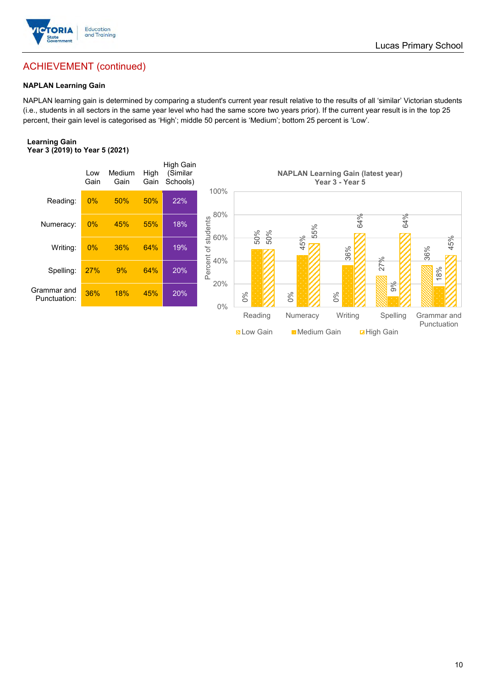

## ACHIEVEMENT (continued)

#### **NAPLAN Learning Gain**

NAPLAN learning gain is determined by comparing a student's current year result relative to the results of all 'similar' Victorian students (i.e., students in all sectors in the same year level who had the same score two years prior). If the current year result is in the top 25 percent, their gain level is categorised as 'High'; middle 50 percent is 'Medium'; bottom 25 percent is 'Low'.

#### **Learning Gain Year 3 (2019) to Year 5 (2021)**



Lucas Primary School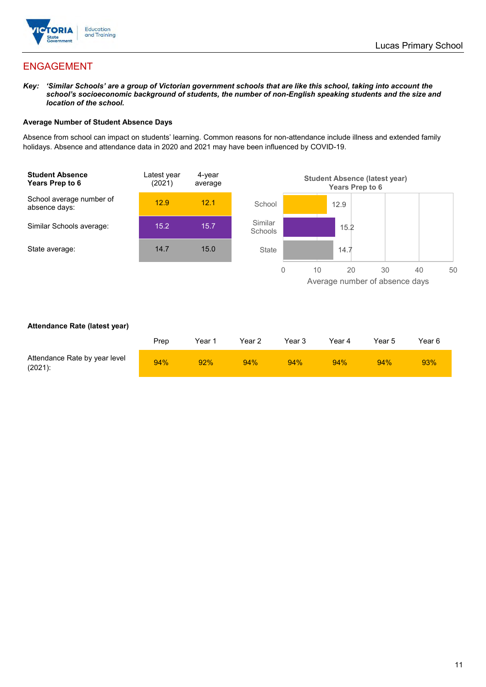

## ENGAGEMENT

*Key: 'Similar Schools' are a group of Victorian government schools that are like this school, taking into account the school's socioeconomic background of students, the number of non-English speaking students and the size and location of the school.*

#### **Average Number of Student Absence Days**

Absence from school can impact on students' learning. Common reasons for non-attendance include illness and extended family holidays. Absence and attendance data in 2020 and 2021 may have been influenced by COVID-19.



#### **Attendance Rate (latest year)**

|                                             | Prep | Year 1 | Year 2 | Year 3 | Year 4 | Year 5 | Year 6 |
|---------------------------------------------|------|--------|--------|--------|--------|--------|--------|
| Attendance Rate by year level<br>$(2021)$ : | 94%  | 92%    | 94%    | 94%    | 94%    | 94%    | 93%    |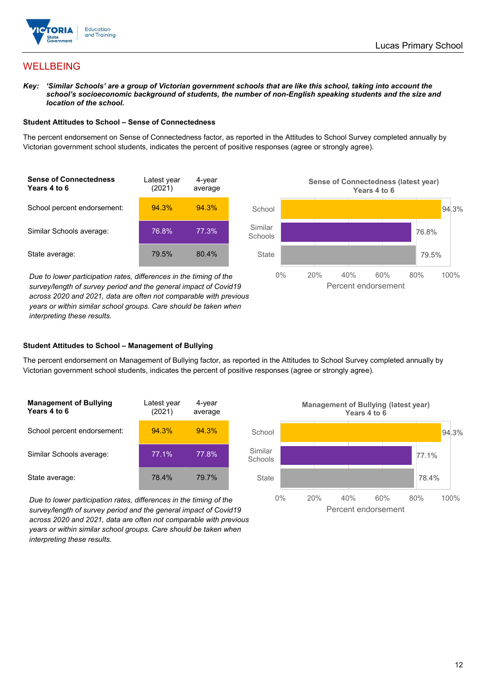

## **WELLBEING**

*Key: 'Similar Schools' are a group of Victorian government schools that are like this school, taking into account the school's socioeconomic background of students, the number of non-English speaking students and the size and location of the school.*

#### **Student Attitudes to School – Sense of Connectedness**

The percent endorsement on Sense of Connectedness factor, as reported in the Attitudes to School Survey completed annually by Victorian government school students, indicates the percent of positive responses (agree or strongly agree).



*Due to lower participation rates, differences in the timing of the survey/length of survey period and the general impact of Covid19 across 2020 and 2021, data are often not comparable with previous years or within similar school groups. Care should be taken when interpreting these results.*



#### **Student Attitudes to School – Management of Bullying**

The percent endorsement on Management of Bullying factor, as reported in the Attitudes to School Survey completed annually by Victorian government school students, indicates the percent of positive responses (agree or strongly agree).

| <b>Management of Bullying</b><br>Years 4 to 6 | Latest year<br>(2021) | 4-year<br>average |  |
|-----------------------------------------------|-----------------------|-------------------|--|
| School percent endorsement:                   | 94.3%                 | 94.3%             |  |
| Similar Schools average:                      | 77.1%                 | 77.8%             |  |
| State average:                                | 78.4%                 | 79.7%             |  |

*Due to lower participation rates, differences in the timing of the survey/length of survey period and the general impact of Covid19 across 2020 and 2021, data are often not comparable with previous years or within similar school groups. Care should be taken when interpreting these results.*

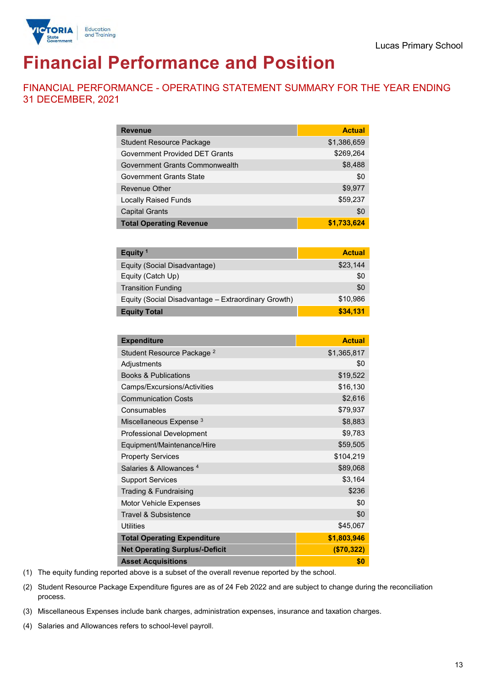

# **Financial Performance and Position**

FINANCIAL PERFORMANCE - OPERATING STATEMENT SUMMARY FOR THE YEAR ENDING 31 DECEMBER, 2021

| <b>Revenue</b>                  | <b>Actual</b> |
|---------------------------------|---------------|
| <b>Student Resource Package</b> | \$1,386,659   |
| Government Provided DET Grants  | \$269,264     |
| Government Grants Commonwealth  | \$8,488       |
| <b>Government Grants State</b>  | \$0           |
| Revenue Other                   | \$9,977       |
| <b>Locally Raised Funds</b>     | \$59,237      |
| <b>Capital Grants</b>           | \$0           |
| <b>Total Operating Revenue</b>  | \$1,733,624   |

| Equity <sup>1</sup>                                 | <b>Actual</b> |
|-----------------------------------------------------|---------------|
| Equity (Social Disadvantage)                        | \$23,144      |
| Equity (Catch Up)                                   | \$0           |
| <b>Transition Funding</b>                           | \$0           |
| Equity (Social Disadvantage - Extraordinary Growth) | \$10,986      |
| <b>Equity Total</b>                                 | \$34.131      |

| <b>Expenditure</b>                    | <b>Actual</b> |
|---------------------------------------|---------------|
| Student Resource Package <sup>2</sup> | \$1,365,817   |
| Adjustments                           | \$0           |
| <b>Books &amp; Publications</b>       | \$19,522      |
| Camps/Excursions/Activities           | \$16,130      |
| <b>Communication Costs</b>            | \$2,616       |
| Consumables                           | \$79,937      |
| Miscellaneous Expense <sup>3</sup>    | \$8,883       |
| <b>Professional Development</b>       | \$9,783       |
| Equipment/Maintenance/Hire            | \$59,505      |
| <b>Property Services</b>              | \$104,219     |
| Salaries & Allowances <sup>4</sup>    | \$89,068      |
| <b>Support Services</b>               | \$3,164       |
| Trading & Fundraising                 | \$236         |
| Motor Vehicle Expenses                | \$0           |
| Travel & Subsistence                  | \$0           |
| <b>Utilities</b>                      | \$45,067      |
| <b>Total Operating Expenditure</b>    | \$1,803,946   |
| <b>Net Operating Surplus/-Deficit</b> | (\$70,322)    |
| <b>Asset Acquisitions</b>             | \$0           |

(1) The equity funding reported above is a subset of the overall revenue reported by the school.

(2) Student Resource Package Expenditure figures are as of 24 Feb 2022 and are subject to change during the reconciliation process.

(3) Miscellaneous Expenses include bank charges, administration expenses, insurance and taxation charges.

(4) Salaries and Allowances refers to school-level payroll.